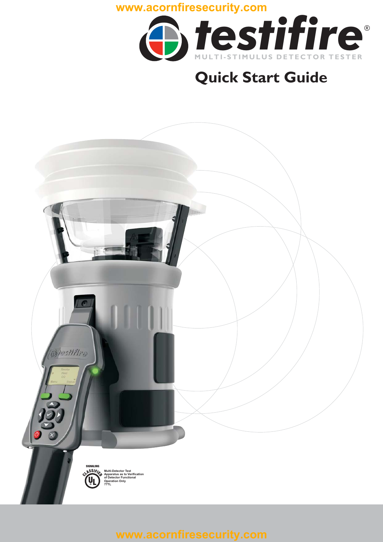

# **Quick Start Guide**

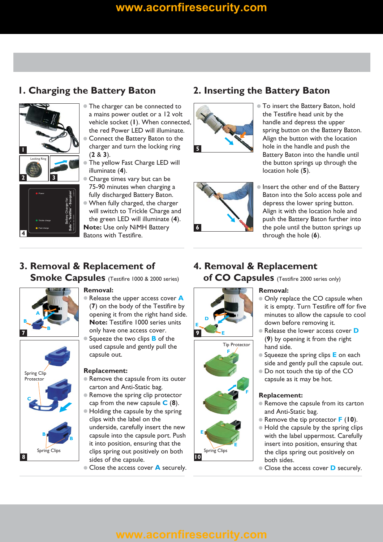# **<www.acornfiresecurity.com>**



Trickle charge Fast charge

**4**

- $\bullet$  The charger can be connected to a mains power outlet or a 12 volt vehicle socket (**I**). When connected, the red Power LED will illuminate.
- $\bullet$ Connect the Battery Baton to the charger and turn the locking ring  $(2 \& 3)$ .
- $\bullet$ The yellow Fast Charge LED will illuminate (4).
- $\bullet$ Charge times vary but can be 75-90 minutes when charging a fully discharged Battery Baton.
- $\bullet$  When fully charged, the charger will switch to Trickle Charge and the green LED will illuminate (4). **Note:** Use only NiMH Battery

Batons with Testifire.

### **1. Charging the Battery Baton 2. Inserting the Battery Baton**





- $\bullet$  To insert the Battery Baton, hold the Testifire head unit by the handle and depress the upper spring button on the Battery Baton. Align the button with the location hole in the handle and push the Battery Baton into the handle until the button springs up through the location hole (5).
- $\bullet$  Insert the other end of the Battery Baton into the Solo access pole and depress the lower spring button. Align it with the location hole and push the Battery Baton further into the pole until the button springs up through the hole (6).

# **3. Removal & Replacement of**

**Smoke Capsules** (Testifire 1000 & 2000 series)



### **Removal:**

- (7) on the body of the Testifire by **Note:** Testifire 1000 series units • Release the upper access cover **A** opening it from the right hand side. only have one access cover. **7 9**
	- Squeeze the two clips **B** of the used capsule and gently pull the capsule out.

### **Replacement:**

- $\bullet$  Remove the capsule from its outer carton and Anti-Static bag.
- cap from the new capsule  $C(8)$ .  $\bullet$  Remove the spring clip protector
- $\bullet$  Holding the capsule by the spring clips with the label on the underside, carefully insert the new capsule into the capsule port. Push it into position, ensuring that the clips spring out positively on both sides of the capsule. **8 10**
	- Close the access cover **A** securely.

### **4. Removal & Replacement of CO Capsules** (Testifire 2000 series only)



Tip Protector

**F**

**E**

**F**

Spring Clips

**E**

### **Removal:**

- $\bullet$  Only replace the CO capsule when it is empty. Turn Testifire off for five minutes to allow the capsule to cool down before removing it.
- (9) by opening it from the right  $\bullet$  Release the lower access cover  $\bullet$ hand side.
- Squeeze the spring clips **E** on each side and gently pull the capsule out.
- Do not touch the tip of the CO capsule as it may be hot.

### **Replacement:**

- $\bullet$  Remove the capsule from its carton and Anti-Static bag.
- $\bullet$  Remove the tip protector  $\mathsf{F}$  (10).
- Hold the capsule by the spring clips with the label uppermost. Carefully insert into position, ensuring that the clips spring out positively on both sides.
- Close the access cover **D** securely.

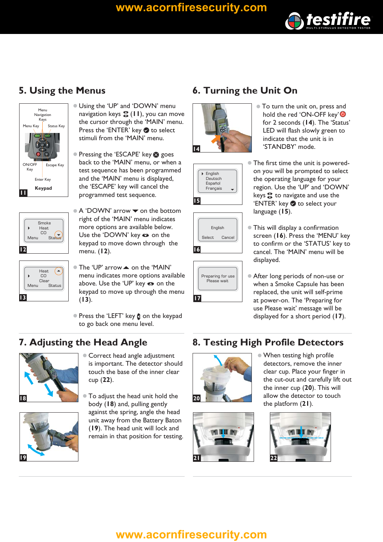### **<www.acornfiresecurity.com>**



# **5. Using the Menus**



Smoke –<br>Heat CO Status Menu **12**

|      | Heat.<br>CO            |
|------|------------------------|
| Menu | Clear<br><b>Status</b> |

- $\bullet$  Using the 'UP' and 'DOWN' menu navigation keys **응** ( **I I** ), you can move the cursor through the 'MAIN' menu. Press the 'ENTER' key **to select** stimuli from the 'MAIN' menu.
- Pressing the 'ESCAPE' key **&** goes back to the 'MAIN' menu, or when a test sequence has been programmed and the 'MAIN' menu is displayed, the 'ESCAPE' key will cancel the programmed test sequence.
- $\bullet$  A 'DOWN' arrow  $\bullet$  on the bottom right of the 'MAIN' menu indicates more options are available below. Use the 'DOWN' key  $\bullet$  on the keypad to move down through the menu. (**12**).
- $\bullet$  The 'UP' arrow  $\blacktriangle$  on the 'MAIN' menu indicates more options available above. Use the 'UP' key  $\bullet$  on the keypad to move up through the menu  $(13).$
- Press the 'LEFT' key **(** on the keypad to go back one menu level.

# **7. Adjusting the Head Angle**



**19**

- Correct head angle adjustment is important. The detector should touch the base of the inner clear cup (**22**).
- $\bullet$ To adjust the head unit hold the body (18) and, pulling gently against the spring, angle the head unit away from the Battery Baton (19). The head unit will lock and remain in that position for testing.

# **6. Turning the Unit On**









- $\bullet$  To turn the unit on, press and hold the red 'ON-OFF key'<sup>O</sup> for 2 seconds ( ). The 'Status' **14** LED will flash slowly green to indicate that the unit is in 'STANDBY' mode.
- The first time the unit is poweredon you will be prompted to select the operating language for your region. Use the 'UP' and 'DOWN' keys  $\bullet$  to navigate and use the 'ENTER' key **to select your** language (**15**).
- $\bullet$  This will display a confirmation screen (**16**). Press the 'MENU' key to confirm or the 'STATUS' key to cancel. The 'MAIN' menu will be displayed.
- After long periods of non-use or when a Smoke Capsule has been replaced, the unit will self-prime at power-on. The 'Preparing for use Please wait' message will be displayed for a short period (17).

# **8. Testing High Profile Detectors**



 $\bullet$  When testing high profile detectors, remove the inner clear cup. Place your finger in the cut-out and carefully lift out the inner cup (20). This will allow the detector to touch the platform (21).





# **<www.acornfiresecurity.com>**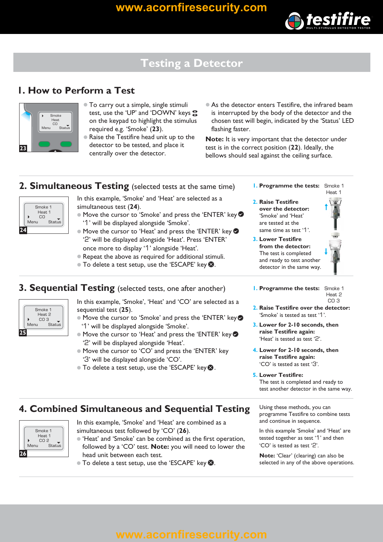

# **Testing a Detector**

### **1. How to Perform a Test**



- To carry out a simple, single stimuli test, use the 'UP' and 'DOWN' keys on the keypad to highlight the stimul us required e.g. 'Smoke' (23).
- $\bullet$  Raise the Testifire head unit up to the detector to be tested, and place it centrally over the detector.
- As the detector enters Testifire, the infrared beam is interrupted by the body of the detector and the chosen test will begin, indicated by the 'Status' LED flashing faster.

Note: It is very important that the detector under test is in the correct position (**22**). Ideally, the bellows should seal against the ceiling surface.

### **2. Simultaneous Testing** (selected tests at the same time)



- simultaneous test (24). In this example, 'Smoke' and 'Heat' are selected as a
- $\bullet$  Move the cursor to 'Smoke' and press the 'ENTER' key '1' will be displayed alongside 'Smoke'.
- Move the cursor to 'Heat' and press the 'ENTER' key '2' will be displayed alongside 'Heat'. Press 'ENTER' once more to display '1' alongside 'Heat'.
- Repeat the above as required for additional stimuli.
- $\bullet$  To delete a test setup, use the 'ESCAPE' key  $\bullet$  .

### **3. Sequential Testing** (selected tests, one after another)



- In this example, 'Smoke', 'Heat' and 'CO' are selected as a sequential test (25).
- $\bullet$  Move the cursor to 'Smoke' and press the 'ENTER' key '1' will be displayed alongside 'Smoke'.
- Move the cursor to 'Heat' and press the 'ENTER' key '2' will be displayed alongside 'Heat'.
- Move the cursor to 'CO' and press the 'ENTER' key '3' will be displayed alongside 'CO'.
- To delete a test setup, use the 'ESCAPE' key <sup>3</sup>.
- **1. Programme the tests:** Smoke 1 Heat 1
- **2. Raise Testifire over the detector:** 'Smoke' and 'Heat' are tested at the same time as test '1'
- **3. Lower Testifire from the detector:** The test is completed and ready to test another detector in the same way.



- **1. Programme the tests:** Smoke 1 CO<sub>3</sub>
- 2. Raise Testifire over the detector: 'Smoke' is tested as test '1'
- **3. Lower for 2-10 seconds, then raise Testifire again:** 'Heat' is tested as test '2'.
- **4. Lower for 2-10 seconds, then raise Testifire again:** 'CO' is tested as test '3'.
- The test is completed and ready to test another detector in the same way. **5. Lower Testifire:**

### **4. Combined Simultaneous and Sequential Testing**



- In this example, 'Smoke' and 'Heat' are combined as a simultaneous test followed by 'CO' (26).
- $\bullet$  'Heat' and 'Smoke' can be combined as the first operation, followed by a 'CO' test. **Note:** you will need to lower the head unit between each test.
- $\bullet$  To delete a test setup, use the 'ESCAPE' key  $\bullet$ .

Using these methods, you can programme Testifire to combine tests and continue in sequence.

In this example 'Smoke' and 'Heat' are tested together as test '1' and then  $'CO'$  is tested as test  $'2'.$ 

**Note:** 'Clear' (clearing) can also be selected in any of the above operations.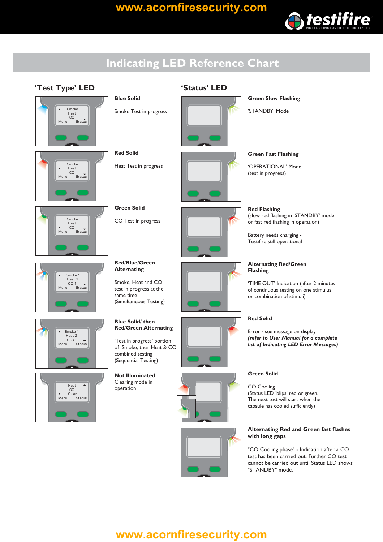

# **Indicating LED Reference Chart**

### **'Test Type' LED 'Status' LED**







# Smoke 1<br>Heat 1  $CD<sub>g</sub>$ Meni Menu Status







**Blue Solid**

**Red Solid**

**Green Solid**

CO Test in progress

**Red/Blue/Green Alternating**

Smoke, Heat and CO test in progress at the

(Simultaneous Testing)

Heat Test in progress



**Green Slow Flashing**

'STANDBY' Mode

**Green Fast Flashing**

'OPERATIONAL' Mode (test in progress)

**Red Flashing** (slow red flashing in 'STANDBY' mode or fast red flashing in operation)

Battery needs charging - Testifire still operational



### **Alternating Red/Green Flashing**

'TIME OUT' Indication (after 2 minutes of continuous testing on one stimulus or combination of stimuli)

### **Red Solid**

Error - see message on display *(refer to User Manual for a complete list of Indicating LED Error Messages)*

### **Green Solid**

CO Cooling (Status LED 'blips' red or green. The next test will start when the capsule has cooled sufficiently)

### **Alternating Red and Green fast flashes with long gaps**

"CO Cooling phase" - Indication after a CO test has been carried out. Further CO test cannot be carried out until Status LED shows "STANDBY" mode.

### **Blue Solid/ then Red/Green Alternating** 'Test in progress' portion of Smoke, then Heat & CO combined testing

same time

**Not Illuminated** (Sequential Testing)

Clearing mode in operation





# **<www.acornfiresecurity.com>**